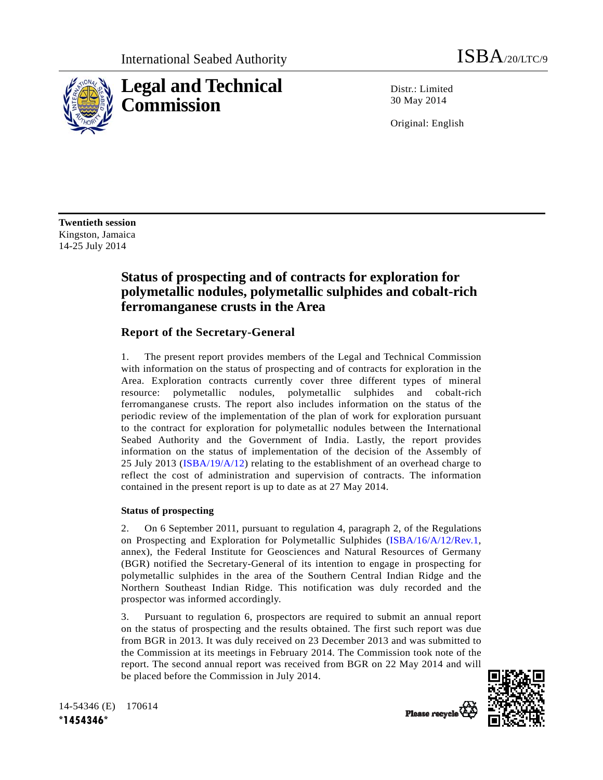

Distr.: Limited 30 May 2014

Original: English

**Twentieth session**  Kingston, Jamaica 14-25 July 2014

### **Status of prospecting and of contracts for exploration for polymetallic nodules, polymetallic sulphides and cobalt-rich ferromanganese crusts in the Area**

### **Report of the Secretary-General**

1. The present report provides members of the Legal and Technical Commission with information on the status of prospecting and of contracts for exploration in the Area. Exploration contracts currently cover three different types of mineral resource: polymetallic nodules, polymetallic sulphides and cobalt-rich ferromanganese crusts. The report also includes information on the status of the periodic review of the implementation of the plan of work for exploration pursuant to the contract for exploration for polymetallic nodules between the International Seabed Authority and the Government of India. Lastly, the report provides information on the status of implementation of the decision of the Assembly of 25 July 2013 (ISBA/19/A/12) relating to the establishment of an overhead charge to reflect the cost of administration and supervision of contracts. The information contained in the present report is up to date as at 27 May 2014.

#### **Status of prospecting**

2. On 6 September 2011, pursuant to regulation 4, paragraph 2, of the Regulations on Prospecting and Exploration for Polymetallic Sulphides (ISBA/16/A/12/Rev.1, annex), the Federal Institute for Geosciences and Natural Resources of Germany (BGR) notified the Secretary-General of its intention to engage in prospecting for polymetallic sulphides in the area of the Southern Central Indian Ridge and the Northern Southeast Indian Ridge. This notification was duly recorded and the prospector was informed accordingly.

3. Pursuant to regulation 6, prospectors are required to submit an annual report on the status of prospecting and the results obtained. The first such report was due from BGR in 2013. It was duly received on 23 December 2013 and was submitted to the Commission at its meetings in February 2014. The Commission took note of the report. The second annual report was received from BGR on 22 May 2014 and will be placed before the Commission in July 2014.

Please recycle

14-54346 (E) 170614 **\*1454346\***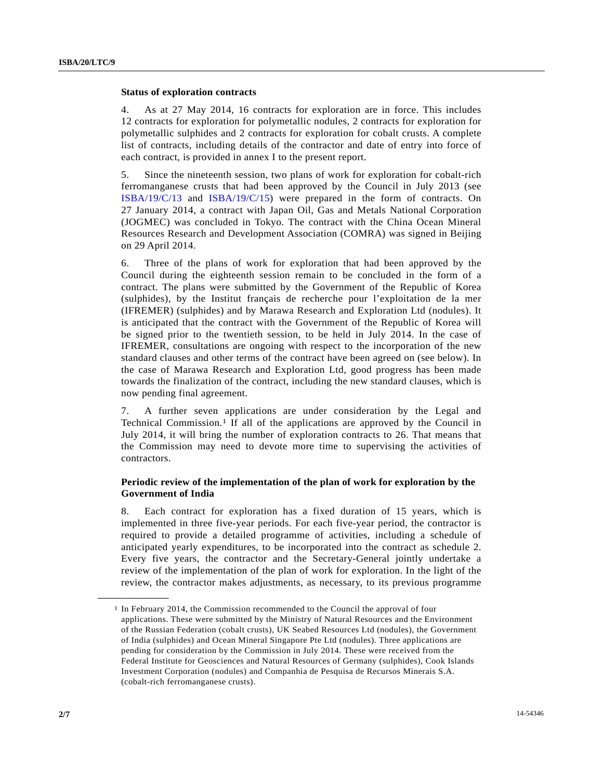#### **Status of exploration contracts**

4. As at 27 May 2014, 16 contracts for exploration are in force. This includes 12 contracts for exploration for polymetallic nodules, 2 contracts for exploration for polymetallic sulphides and 2 contracts for exploration for cobalt crusts. A complete list of contracts, including details of the contractor and date of entry into force of each contract, is provided in annex I to the present report.

5. Since the nineteenth session, two plans of work for exploration for cobalt-rich ferromanganese crusts that had been approved by the Council in July 2013 (see ISBA/19/C/13 and ISBA/19/C/15) were prepared in the form of contracts. On 27 January 2014, a contract with Japan Oil, Gas and Metals National Corporation (JOGMEC) was concluded in Tokyo. The contract with the China Ocean Mineral Resources Research and Development Association (COMRA) was signed in Beijing on 29 April 2014.

6. Three of the plans of work for exploration that had been approved by the Council during the eighteenth session remain to be concluded in the form of a contract. The plans were submitted by the Government of the Republic of Korea (sulphides), by the Institut français de recherche pour l'exploitation de la mer (IFREMER) (sulphides) and by Marawa Research and Exploration Ltd (nodules). It is anticipated that the contract with the Government of the Republic of Korea will be signed prior to the twentieth session, to be held in July 2014. In the case of IFREMER, consultations are ongoing with respect to the incorporation of the new standard clauses and other terms of the contract have been agreed on (see below). In the case of Marawa Research and Exploration Ltd, good progress has been made towards the finalization of the contract, including the new standard clauses, which is now pending final agreement.

7. A further seven applications are under consideration by the Legal and Technical Commission.1 If all of the applications are approved by the Council in July 2014, it will bring the number of exploration contracts to 26. That means that the Commission may need to devote more time to supervising the activities of contractors.

#### **Periodic review of the implementation of the plan of work for exploration by the Government of India**

8. Each contract for exploration has a fixed duration of 15 years, which is implemented in three five-year periods. For each five-year period, the contractor is required to provide a detailed programme of activities, including a schedule of anticipated yearly expenditures, to be incorporated into the contract as schedule 2. Every five years, the contractor and the Secretary-General jointly undertake a review of the implementation of the plan of work for exploration. In the light of the review, the contractor makes adjustments, as necessary, to its previous programme

**\_\_\_\_\_\_\_\_\_\_\_\_\_\_\_\_\_\_** 

<sup>1</sup> In February 2014, the Commission recommended to the Council the approval of four applications. These were submitted by the Ministry of Natural Resources and the Environment of the Russian Federation (cobalt crusts), UK Seabed Resources Ltd (nodules), the Government of India (sulphides) and Ocean Mineral Singapore Pte Ltd (nodules). Three applications are pending for consideration by the Commission in July 2014. These were received from the Federal Institute for Geosciences and Natural Resources of Germany (sulphides), Cook Islands Investment Corporation (nodules) and Companhia de Pesquisa de Recursos Minerais S.A. (cobalt-rich ferromanganese crusts).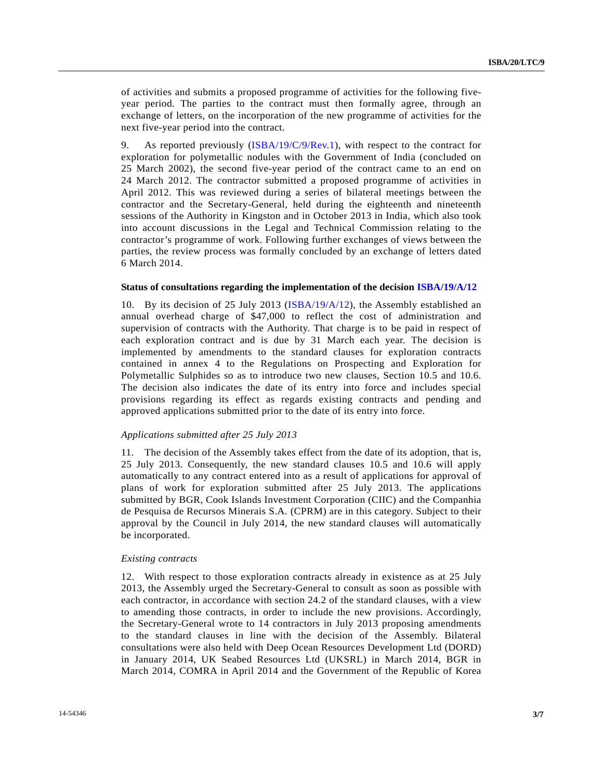of activities and submits a proposed programme of activities for the following fiveyear period. The parties to the contract must then formally agree, through an exchange of letters, on the incorporation of the new programme of activities for the next five-year period into the contract.

9. As reported previously (ISBA/19/C/9/Rev.1), with respect to the contract for exploration for polymetallic nodules with the Government of India (concluded on 25 March 2002), the second five-year period of the contract came to an end on 24 March 2012. The contractor submitted a proposed programme of activities in April 2012. This was reviewed during a series of bilateral meetings between the contractor and the Secretary-General, held during the eighteenth and nineteenth sessions of the Authority in Kingston and in October 2013 in India, which also took into account discussions in the Legal and Technical Commission relating to the contractor's programme of work. Following further exchanges of views between the parties, the review process was formally concluded by an exchange of letters dated 6 March 2014.

#### **Status of consultations regarding the implementation of the decision ISBA/19/A/12**

10. By its decision of 25 July 2013 (ISBA/19/A/12), the Assembly established an annual overhead charge of \$47,000 to reflect the cost of administration and supervision of contracts with the Authority. That charge is to be paid in respect of each exploration contract and is due by 31 March each year. The decision is implemented by amendments to the standard clauses for exploration contracts contained in annex 4 to the Regulations on Prospecting and Exploration for Polymetallic Sulphides so as to introduce two new clauses, Section 10.5 and 10.6. The decision also indicates the date of its entry into force and includes special provisions regarding its effect as regards existing contracts and pending and approved applications submitted prior to the date of its entry into force.

#### *Applications submitted after 25 July 2013*

11. The decision of the Assembly takes effect from the date of its adoption, that is, 25 July 2013. Consequently, the new standard clauses 10.5 and 10.6 will apply automatically to any contract entered into as a result of applications for approval of plans of work for exploration submitted after 25 July 2013. The applications submitted by BGR, Cook Islands Investment Corporation (CIIC) and the Companhia de Pesquisa de Recursos Minerais S.A. (CPRM) are in this category. Subject to their approval by the Council in July 2014, the new standard clauses will automatically be incorporated.

#### *Existing contracts*

12. With respect to those exploration contracts already in existence as at 25 July 2013, the Assembly urged the Secretary-General to consult as soon as possible with each contractor, in accordance with section 24.2 of the standard clauses, with a view to amending those contracts, in order to include the new provisions. Accordingly, the Secretary-General wrote to 14 contractors in July 2013 proposing amendments to the standard clauses in line with the decision of the Assembly. Bilateral consultations were also held with Deep Ocean Resources Development Ltd (DORD) in January 2014, UK Seabed Resources Ltd (UKSRL) in March 2014, BGR in March 2014, COMRA in April 2014 and the Government of the Republic of Korea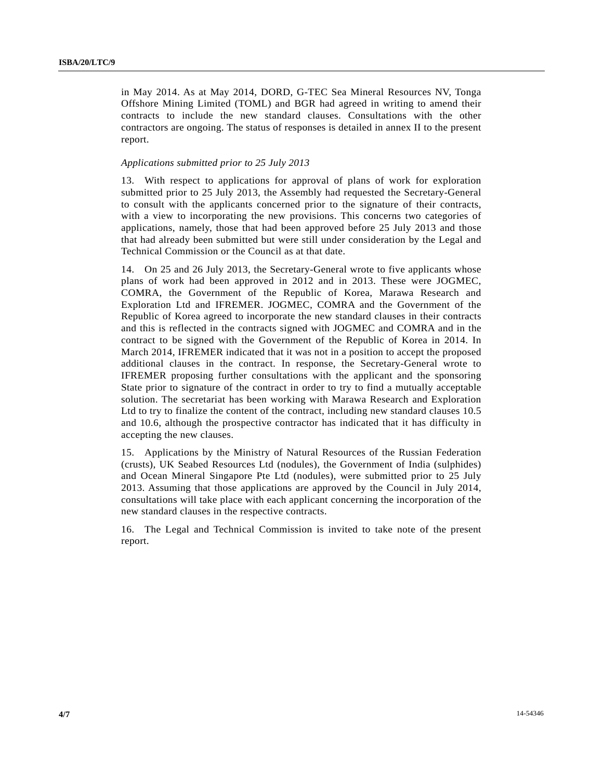in May 2014. As at May 2014, DORD, G-TEC Sea Mineral Resources NV, Tonga Offshore Mining Limited (TOML) and BGR had agreed in writing to amend their contracts to include the new standard clauses. Consultations with the other contractors are ongoing. The status of responses is detailed in annex II to the present report.

#### *Applications submitted prior to 25 July 2013*

13. With respect to applications for approval of plans of work for exploration submitted prior to 25 July 2013, the Assembly had requested the Secretary-General to consult with the applicants concerned prior to the signature of their contracts, with a view to incorporating the new provisions. This concerns two categories of applications, namely, those that had been approved before 25 July 2013 and those that had already been submitted but were still under consideration by the Legal and Technical Commission or the Council as at that date.

14. On 25 and 26 July 2013, the Secretary-General wrote to five applicants whose plans of work had been approved in 2012 and in 2013. These were JOGMEC, COMRA, the Government of the Republic of Korea, Marawa Research and Exploration Ltd and IFREMER. JOGMEC, COMRA and the Government of the Republic of Korea agreed to incorporate the new standard clauses in their contracts and this is reflected in the contracts signed with JOGMEC and COMRA and in the contract to be signed with the Government of the Republic of Korea in 2014. In March 2014, IFREMER indicated that it was not in a position to accept the proposed additional clauses in the contract. In response, the Secretary-General wrote to IFREMER proposing further consultations with the applicant and the sponsoring State prior to signature of the contract in order to try to find a mutually acceptable solution. The secretariat has been working with Marawa Research and Exploration Ltd to try to finalize the content of the contract, including new standard clauses 10.5 and 10.6, although the prospective contractor has indicated that it has difficulty in accepting the new clauses.

15. Applications by the Ministry of Natural Resources of the Russian Federation (crusts), UK Seabed Resources Ltd (nodules), the Government of India (sulphides) and Ocean Mineral Singapore Pte Ltd (nodules), were submitted prior to 25 July 2013. Assuming that those applications are approved by the Council in July 2014, consultations will take place with each applicant concerning the incorporation of the new standard clauses in the respective contracts.

16. The Legal and Technical Commission is invited to take note of the present report.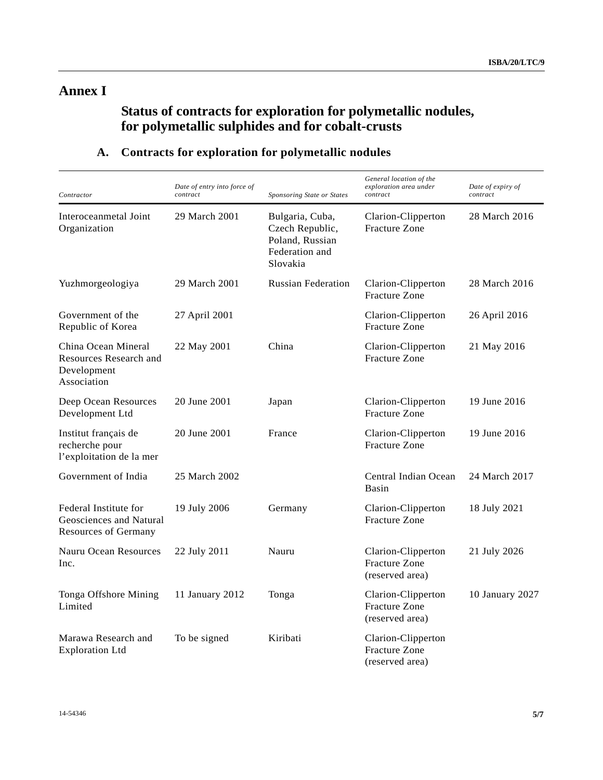## **Annex I**

## **Status of contracts for exploration for polymetallic nodules, for polymetallic sulphides and for cobalt-crusts**

| Contractor                                                                      | Date of entry into force of<br>contract | Sponsoring State or States                                                          | General location of the<br>exploration area under<br>contract | Date of expiry of<br>contract |
|---------------------------------------------------------------------------------|-----------------------------------------|-------------------------------------------------------------------------------------|---------------------------------------------------------------|-------------------------------|
| Interoceanmetal Joint<br>Organization                                           | 29 March 2001                           | Bulgaria, Cuba,<br>Czech Republic,<br>Poland, Russian<br>Federation and<br>Slovakia | Clarion-Clipperton<br><b>Fracture Zone</b>                    | 28 March 2016                 |
| Yuzhmorgeologiya                                                                | 29 March 2001                           | <b>Russian Federation</b>                                                           | Clarion-Clipperton<br><b>Fracture Zone</b>                    | 28 March 2016                 |
| Government of the<br>Republic of Korea                                          | 27 April 2001                           |                                                                                     | Clarion-Clipperton<br><b>Fracture Zone</b>                    | 26 April 2016                 |
| China Ocean Mineral<br>Resources Research and<br>Development<br>Association     | 22 May 2001                             | China                                                                               | Clarion-Clipperton<br><b>Fracture Zone</b>                    | 21 May 2016                   |
| Deep Ocean Resources<br>Development Ltd                                         | 20 June 2001                            | Japan                                                                               | Clarion-Clipperton<br><b>Fracture Zone</b>                    | 19 June 2016                  |
| Institut français de<br>recherche pour<br>l'exploitation de la mer              | 20 June 2001                            | France                                                                              | Clarion-Clipperton<br><b>Fracture Zone</b>                    | 19 June 2016                  |
| Government of India                                                             | 25 March 2002                           |                                                                                     | Central Indian Ocean<br>Basin                                 | 24 March 2017                 |
| Federal Institute for<br>Geosciences and Natural<br><b>Resources of Germany</b> | 19 July 2006                            | Germany                                                                             | Clarion-Clipperton<br><b>Fracture Zone</b>                    | 18 July 2021                  |
| Nauru Ocean Resources<br>Inc.                                                   | 22 July 2011                            | Nauru                                                                               | Clarion-Clipperton<br><b>Fracture Zone</b><br>(reserved area) | 21 July 2026                  |
| Tonga Offshore Mining<br>Limited                                                | 11 January 2012                         | Tonga                                                                               | Clarion-Clipperton<br><b>Fracture Zone</b><br>(reserved area) | 10 January 2027               |
| Marawa Research and<br><b>Exploration Ltd</b>                                   | To be signed                            | Kiribati                                                                            | Clarion-Clipperton<br>Fracture Zone<br>(reserved area)        |                               |

### **A. Contracts for exploration for polymetallic nodules**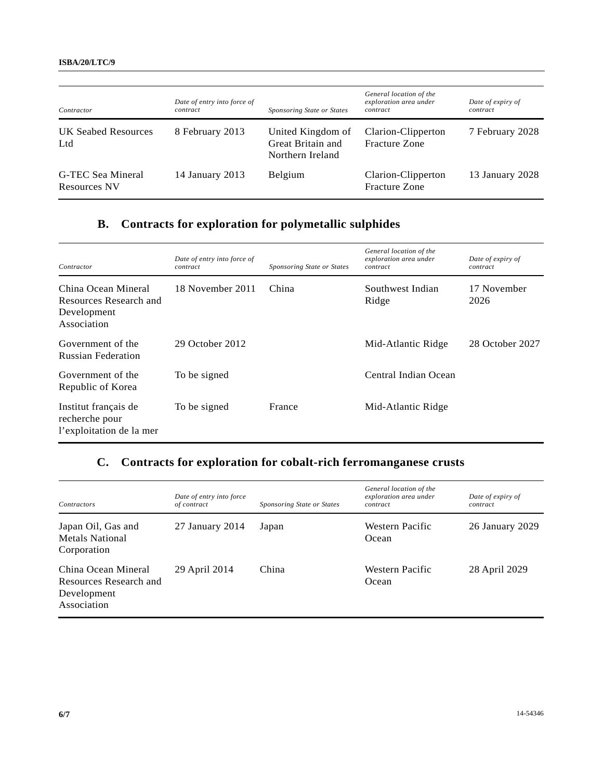| Contractor                               | Date of entry into force of<br>contract | Sponsoring State or States                                 | General location of the<br>exploration area under<br>contract | Date of expiry of<br>contract |
|------------------------------------------|-----------------------------------------|------------------------------------------------------------|---------------------------------------------------------------|-------------------------------|
| <b>UK Seabed Resources</b><br>Ltd        | 8 February 2013                         | United Kingdom of<br>Great Britain and<br>Northern Ireland | Clarion-Clipperton<br><b>Fracture Zone</b>                    | 7 February 2028               |
| G-TEC Sea Mineral<br><b>Resources NV</b> | 14 January 2013                         | Belgium                                                    | Clarion-Clipperton<br><b>Fracture Zone</b>                    | 13 January 2028               |

# **B. Contracts for exploration for polymetallic sulphides**

| Contractor                                                                  | Date of entry into force of<br>contract | Sponsoring State or States | General location of the<br>exploration area under<br>contract | Date of expiry of<br>contract |
|-----------------------------------------------------------------------------|-----------------------------------------|----------------------------|---------------------------------------------------------------|-------------------------------|
| China Ocean Mineral<br>Resources Research and<br>Development<br>Association | 18 November 2011                        | China                      | Southwest Indian<br>Ridge                                     | 17 November<br>2026           |
| Government of the<br><b>Russian Federation</b>                              | 29 October 2012                         |                            | Mid-Atlantic Ridge                                            | 28 October 2027               |
| Government of the<br>Republic of Korea                                      | To be signed                            |                            | Central Indian Ocean                                          |                               |
| Institut français de<br>recherche pour<br>l'exploitation de la mer          | To be signed                            | France                     | Mid-Atlantic Ridge                                            |                               |

### **C. Contracts for exploration for cobalt-rich ferromanganese crusts**

| Contractors                                                                 | Date of entry into force<br>of contract | Sponsoring State or States | General location of the<br>exploration area under<br>contract | Date of expiry of<br>contract |
|-----------------------------------------------------------------------------|-----------------------------------------|----------------------------|---------------------------------------------------------------|-------------------------------|
| Japan Oil, Gas and<br><b>Metals National</b><br>Corporation                 | 27 January 2014                         | Japan                      | Western Pacific<br>Ocean                                      | 26 January 2029               |
| China Ocean Mineral<br>Resources Research and<br>Development<br>Association | 29 April 2014                           | China                      | Western Pacific<br>Ocean                                      | 28 April 2029                 |